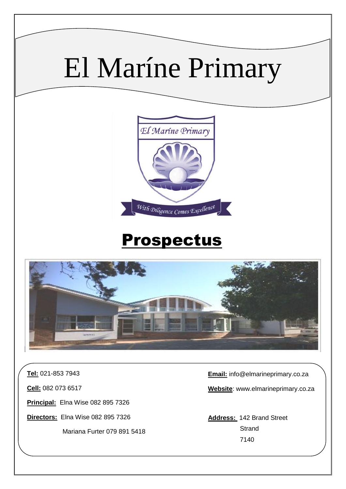

**Tel:** 021-853 7943

**Cell:** 082 073 6517

**Principal:** Elna Wise 082 895 7326

**Directors:** Elna Wise 082 895 7326

Mariana Furter 079 891 5418

**Email:** info@elmarineprimary.co.za

**Website**: www.elmarineprimary.co.za

**Address:** 142 Brand Street **Strand** 7140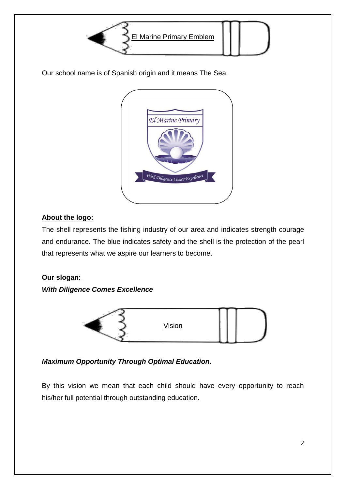

Our school name is of Spanish origin and it means The Sea.



# **About the logo:**

The shell represents the fishing industry of our area and indicates strength courage and endurance. The blue indicates safety and the shell is the protection of the pearl that represents what we aspire our learners to become.

### **Our slogan:**

### *With Diligence Comes Excellence*



# *Maximum Opportunity Through Optimal Education.*

By this vision we mean that each child should have every opportunity to reach his/her full potential through outstanding education.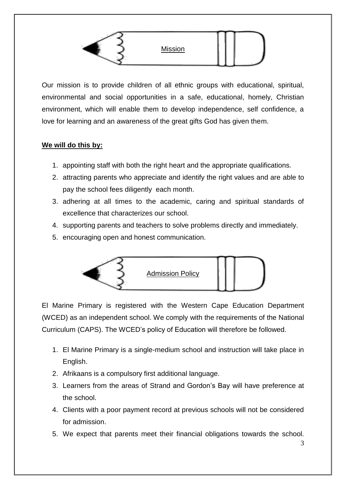

Our mission is to provide children of all ethnic groups with educational, spiritual, environmental and social opportunities in a safe, educational, homely, Christian environment, which will enable them to develop independence, self confidence, a love for learning and an awareness of the great gifts God has given them.

# **We will do this by:**

- 1. appointing staff with both the right heart and the appropriate qualifications.
- 2. attracting parents who appreciate and identify the right values and are able to pay the school fees diligently each month.
- 3. adhering at all times to the academic, caring and spiritual standards of excellence that characterizes our school.
- 4. supporting parents and teachers to solve problems directly and immediately.
- 5. encouraging open and honest communication.



El Marine Primary is registered with the Western Cape Education Department (WCED) as an independent school. We comply with the requirements of the National Curriculum (CAPS). The WCED's policy of Education will therefore be followed.

- 1. El Marine Primary is a single-medium school and instruction will take place in English.
- 2. Afrikaans is a compulsory first additional language.
- 3. Learners from the areas of Strand and Gordon's Bay will have preference at the school.
- 4. Clients with a poor payment record at previous schools will not be considered for admission.
- 5. We expect that parents meet their financial obligations towards the school.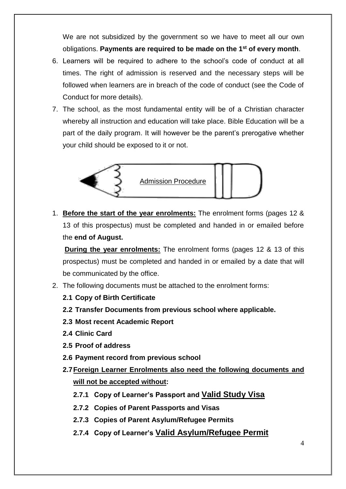We are not subsidized by the government so we have to meet all our own obligations. **Payments are required to be made on the 1st of every month**.

- 6. Learners will be required to adhere to the school's code of conduct at all times. The right of admission is reserved and the necessary steps will be followed when learners are in breach of the code of conduct (see the Code of Conduct for more details).
- 7. The school, as the most fundamental entity will be of a Christian character whereby all instruction and education will take place. Bible Education will be a part of the daily program. It will however be the parent's prerogative whether your child should be exposed to it or not.



1. **Before the start of the year enrolments:** The enrolment forms (pages 12 & 13 of this prospectus) must be completed and handed in or emailed before the **end of August.**

**During the year enrolments:** The enrolment forms (pages 12 & 13 of this prospectus) must be completed and handed in or emailed by a date that will be communicated by the office.

- 2. The following documents must be attached to the enrolment forms:
	- **2.1 Copy of Birth Certificate**
	- **2.2 Transfer Documents from previous school where applicable.**
	- **2.3 Most recent Academic Report**
	- **2.4 Clinic Card**
	- **2.5 Proof of address**
	- **2.6 Payment record from previous school**
	- **2.7Foreign Learner Enrolments also need the following documents and will not be accepted without:**
		- **2.7.1 Copy of Learner's Passport and Valid Study Visa**
		- **2.7.2 Copies of Parent Passports and Visas**
		- **2.7.3 Copies of Parent Asylum/Refugee Permits**
		- **2.7.4 Copy of Learner's Valid Asylum/Refugee Permit**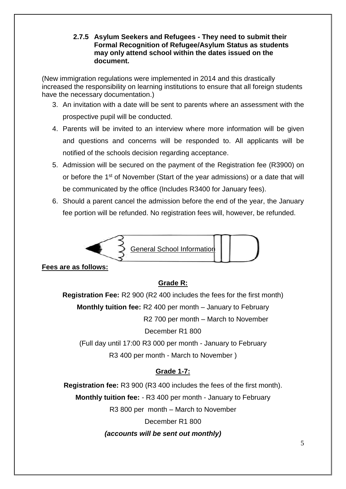#### **2.7.5 Asylum Seekers and Refugees - They need to submit their Formal Recognition of Refugee/Asylum Status as students may only attend school within the dates issued on the document.**

(New immigration regulations were implemented in 2014 and this drastically increased the responsibility on learning institutions to ensure that all foreign students have the necessary documentation.)

- 3. An invitation with a date will be sent to parents where an assessment with the prospective pupil will be conducted.
- 4. Parents will be invited to an interview where more information will be given and questions and concerns will be responded to. All applicants will be notified of the schools decision regarding acceptance.
- 5. Admission will be secured on the payment of the Registration fee (R3900) on or before the 1<sup>st</sup> of November (Start of the year admissions) or a date that will be communicated by the office (Includes R3400 for January fees).
- 6. Should a parent cancel the admission before the end of the year, the January fee portion will be refunded. No registration fees will, however, be refunded.



**Fees are as follows:**

# **Grade R:**

**Registration Fee:** R2 900 (R2 400 includes the fees for the first month) **Monthly tuition fee:** R2 400 per month – January to February R2 700 per month – March to November December R1 800

(Full day until 17:00 R3 000 per month - January to February R3 400 per month - March to November )

# **Grade 1-7:**

**Registration fee:** R3 900 (R3 400 includes the fees of the first month).

**Monthly tuition fee:** - R3 400 per month - January to February

R3 800 per month – March to November

December R1 800

*(accounts will be sent out monthly)*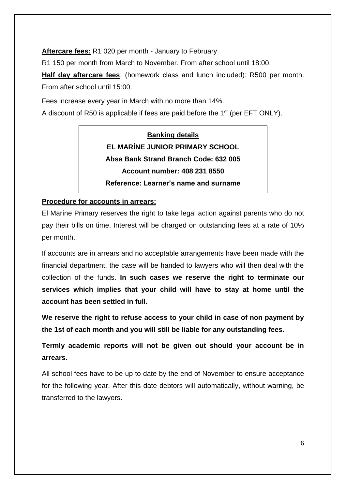**Aftercare fees:** R1 020 per month - January to February

R1 150 per month from March to November. From after school until 18:00.

**Half day aftercare fees**: (homework class and lunch included): R500 per month. From after school until 15:00.

Fees increase every year in March with no more than 14%.

A discount of R50 is applicable if fees are paid before the 1<sup>st</sup> (per EFT ONLY).

# **Banking details EL MARÍNE JUNIOR PRIMARY SCHOOL Absa Bank Strand Branch Code: 632 005 Account number: 408 231 8550 Reference: Learner's name and surname**

#### **Procedure for accounts in arrears:**

El Maríne Primary reserves the right to take legal action against parents who do not pay their bills on time. Interest will be charged on outstanding fees at a rate of 10% per month.

If accounts are in arrears and no acceptable arrangements have been made with the financial department, the case will be handed to lawyers who will then deal with the collection of the funds. **In such cases we reserve the right to terminate our services which implies that your child will have to stay at home until the account has been settled in full.** 

**We reserve the right to refuse access to your child in case of non payment by the 1st of each month and you will still be liable for any outstanding fees.**

**Termly academic reports will not be given out should your account be in arrears.**

All school fees have to be up to date by the end of November to ensure acceptance for the following year. After this date debtors will automatically, without warning, be transferred to the lawyers.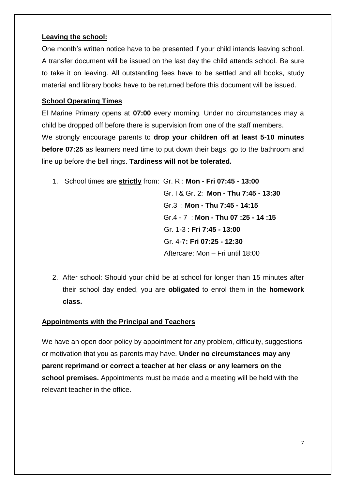#### **Leaving the school:**

One month's written notice have to be presented if your child intends leaving school. A transfer document will be issued on the last day the child attends school. Be sure to take it on leaving. All outstanding fees have to be settled and all books, study material and library books have to be returned before this document will be issued.

#### **School Operating Times**

El Marine Primary opens at **07:00** every morning. Under no circumstances may a child be dropped off before there is supervision from one of the staff members. We strongly encourage parents to **drop your children off at least 5-10 minutes before 07:25** as learners need time to put down their bags, go to the bathroom and line up before the bell rings. **Tardiness will not be tolerated.**

- 1. School times are **strictly** from: Gr. R : **Mon - Fri 07:45 - 13:00** Gr. I & Gr. 2: **Mon - Thu 7:45 - 13:30** Gr.3 : **Mon - Thu 7:45 - 14:15** Gr.4 - 7 : **Mon - Thu 07 :25 - 14 :15** Gr. 1-3 : **Fri 7:45 - 13:00** Gr. 4-7**: Fri 07:25 - 12:30** Aftercare: Mon – Fri until 18:00
- 2. After school: Should your child be at school for longer than 15 minutes after their school day ended, you are **obligated** to enrol them in the **homework class.**

#### **Appointments with the Principal and Teachers**

We have an open door policy by appointment for any problem, difficulty, suggestions or motivation that you as parents may have. **Under no circumstances may any parent reprimand or correct a teacher at her class or any learners on the school premises.** Appointments must be made and a meeting will be held with the relevant teacher in the office.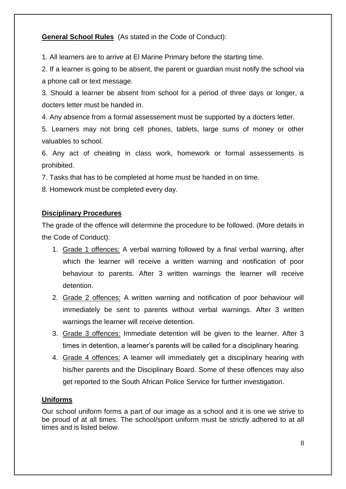**General School Rules** (As stated in the Code of Conduct):

1. All learners are to arrive at El Marine Primary before the starting time.

2. If a learner is going to be absent, the parent or guardian must notify the school via a phone call or text message.

3. Should a learner be absent from school for a period of three days or longer, a docters letter must be handed in.

4. Any absence from a formal assessement must be supported by a docters letter.

5. Learners may not bring cell phones, tablets, large sums of money or other valuables to school.

6. Any act of cheating in class work, homework or formal assessements is prohibited.

7. Tasks that has to be completed at home must be handed in on time.

8. Homework must be completed every day.

#### **Disciplinary Procedures**

The grade of the offence will determine the procedure to be followed. (More details in the Code of Conduct):

- 1. Grade 1 offences: A verbal warning followed by a final verbal warning, after which the learner will receive a written warning and notification of poor behaviour to parents. After 3 written warnings the learner will receive detention.
- 2. Grade 2 offences: A written warning and notification of poor behaviour will immediately be sent to parents without verbal warnings. After 3 written warnings the learner will receive detention.
- 3. Grade 3 offences: Immediate detention will be given to the learner. After 3 times in detention, a learner's parents will be called for a disciplinary hearing.
- 4. Grade 4 offences: A learner will immediately get a disciplinary hearing with his/her parents and the Disciplinary Board. Some of these offences may also get reported to the South African Police Service for further investigation.

### **Uniforms**

Our school uniform forms a part of our image as a school and it is one we strive to be proud of at all times. The school/sport uniform must be strictly adhered to at all times and is listed below.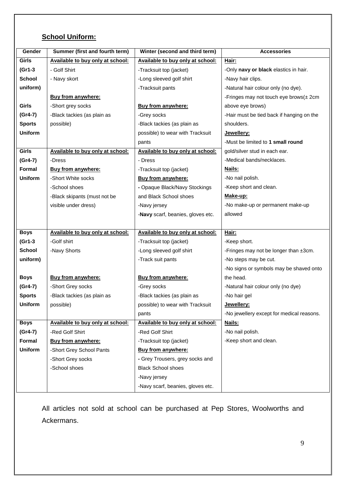# **School Uniform:**

| <b>Gender</b>  | Summer (first and fourth term)   | Winter (second and third term)    | <b>Accessories</b>                           |
|----------------|----------------------------------|-----------------------------------|----------------------------------------------|
| <b>Girls</b>   | Available to buy only at school: | Available to buy only at school:  | Hair:                                        |
| $(Gr1-3)$      | - Golf Shirt                     | -Tracksuit top (jacket)           | -Only navy or black elastics in hair.        |
| <b>School</b>  | - Navy skort                     | -Long sleeved golf shirt          | -Navy hair clips.                            |
| uniform)       |                                  | -Tracksuit pants                  | -Natural hair colour only (no dye).          |
|                | <b>Buy from anywhere:</b>        |                                   | -Fringes may not touch eye brows $(\pm 2$ cm |
| <b>Girls</b>   | -Short grey socks                | Buy from anywhere:                | above eye brows)                             |
| $(Gr4-7)$      | -Black tackies (as plain as      | -Grey socks                       | -Hair must be tied back if hanging on the    |
| <b>Sports</b>  | possible)                        | -Black tackies (as plain as       | shoulders.                                   |
| <b>Uniform</b> |                                  | possible) to wear with Tracksuit  | Jewellery:                                   |
|                |                                  | pants                             | -Must be limited to 1 small round            |
| <b>Girls</b>   | Available to buy only at school: | Available to buy only at school:  | gold/silver stud in each ear.                |
| (Gr4-7)        | -Dress                           | - Dress                           | -Medical bands/necklaces.                    |
| <b>Formal</b>  | <b>Buy from anywhere:</b>        | -Tracksuit top (jacket)           | Nails:                                       |
| <b>Uniform</b> | -Short White socks               | <b>Buy from anywhere:</b>         | -No nail polish.                             |
|                | -School shoes                    | - Opaque Black/Navy Stockings     | -Keep short and clean.                       |
|                | -Black skipants (must not be     | and Black School shoes            | Make-up:                                     |
|                | visible under dress)             | -Navy jersey                      | -No make-up or permanent make-up             |
|                |                                  | -Navy scarf, beanies, gloves etc. | allowed                                      |
|                |                                  |                                   |                                              |
| <b>Boys</b>    | Available to buy only at school: | Available to buy only at school:  | Hair:                                        |
| $(Gr1-3)$      | -Golf shirt                      | -Tracksuit top (jacket)           | -Keep short.                                 |
| <b>School</b>  | -Navy Shorts                     | -Long sleeved golf shirt          | -Fringes may not be longer than ±3cm.        |
| uniform)       |                                  | -Track suit pants                 | -No steps may be cut.                        |
|                |                                  |                                   | -No signs or symbols may be shaved onto      |
| <b>Boys</b>    | <b>Buy from anywhere:</b>        | <b>Buy from anywhere:</b>         | the head.                                    |
| $(Gr4-7)$      | -Short Grey socks                | -Grey socks                       | -Natural hair colour only (no dye)           |
| <b>Sports</b>  | -Black tackies (as plain as      | -Black tackies (as plain as       | -No hair gel                                 |
| <b>Uniform</b> | possible)                        | possible) to wear with Tracksuit  | Jewellery:                                   |
|                |                                  | pants                             | -No jewellery except for medical reasons.    |
| <b>Boys</b>    | Available to buy only at school: | Available to buy only at school:  | Nails:                                       |
| (Gr4-7)        | -Red Golf Shirt                  | -Red Golf Shirt                   | -No nail polish.                             |
| <b>Formal</b>  | <b>Buy from anywhere:</b>        | -Tracksuit top (jacket)           | -Keep short and clean.                       |
| <b>Uniform</b> | -Short Grey School Pants         | <b>Buy from anywhere:</b>         |                                              |
|                | -Short Grey socks                | - Grey Trousers, grey socks and   |                                              |
|                | -School shoes                    | <b>Black School shoes</b>         |                                              |
|                |                                  | -Navy jersey                      |                                              |
|                |                                  | -Navy scarf, beanies, gloves etc. |                                              |

All articles not sold at school can be purchased at Pep Stores, Woolworths and Ackermans.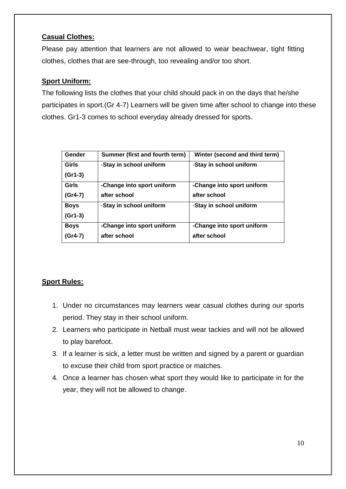## **Casual Clothes:**

Please pay attention that learners are not allowed to wear beachwear, tight fitting clothes, clothes that are see-through, too revealing and/or too short.

# **Sport Uniform:**

The following lists the clothes that your child should pack in on the days that he/she participates in sport.(Gr 4-7) Learners will be given time after school to change into these clothes. Gr1-3 comes to school everyday already dressed for sports.

| Gender      | Summer (first and fourth term) | Winter (second and third term) |
|-------------|--------------------------------|--------------------------------|
| Girls       | -Stay in school uniform        | -Stay in school uniform        |
| $(Gr1-3)$   |                                |                                |
| Girls       | -Change into sport uniform     | -Change into sport uniform     |
| $(Gr4-7)$   | after school                   | after school                   |
| <b>Boys</b> | -Stay in school uniform        | -Stay in school uniform        |
| $(Gr1-3)$   |                                |                                |
| <b>Boys</b> | -Change into sport uniform     | -Change into sport uniform     |
| (Gr4-7)     | after school                   | after school                   |

# **Sport Rules:**

- 1. Under no circumstances may learners wear casual clothes during our sports period. They stay in their school uniform.
- 2. Learners who participate in Netball must wear tackies and will not be allowed to play barefoot.
- 3. If a learner is sick, a letter must be written and signed by a parent or guardian to excuse their child from sport practice or matches.
- 4. Once a learner has chosen what sport they would like to participate in for the year, they will not be allowed to change.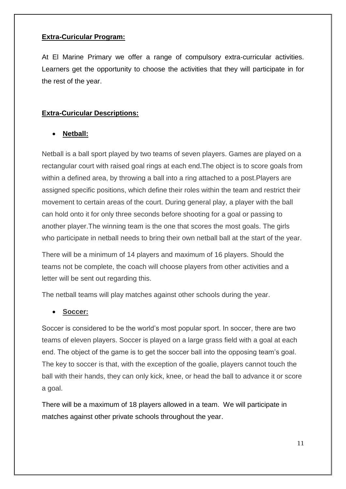#### **Extra-Curicular Program:**

At El Marine Primary we offer a range of compulsory extra-curricular activities. Learners get the opportunity to choose the activities that they will participate in for the rest of the year.

### **Extra-Curicular Descriptions:**

### **Netball:**

Netball is a ball sport played by two teams of seven players. Games are played on a rectangular court with raised goal rings at each end.The object is to score goals from within a defined area, by throwing a ball into a ring attached to a post. Players are assigned specific positions, which define their roles within the team and restrict their movement to certain areas of the court. During general play, a player with the ball can hold onto it for only three seconds before shooting for a goal or passing to another player.The winning team is the one that scores the most goals. The girls who participate in netball needs to bring their own netball ball at the start of the year.

There will be a minimum of 14 players and maximum of 16 players. Should the teams not be complete, the coach will choose players from other activities and a letter will be sent out regarding this.

The netball teams will play matches against other schools during the year.

### **Soccer:**

Soccer is considered to be the world's most popular sport. In soccer, there are two teams of eleven players. Soccer is played on a large grass field with a goal at each end. The object of the game is to get the soccer ball into the opposing team's goal. The key to soccer is that, with the exception of the goalie, players cannot touch the ball with their hands, they can only kick, knee, or head the ball to advance it or score a goal.

There will be a maximum of 18 players allowed in a team. We will participate in matches against other private schools throughout the year.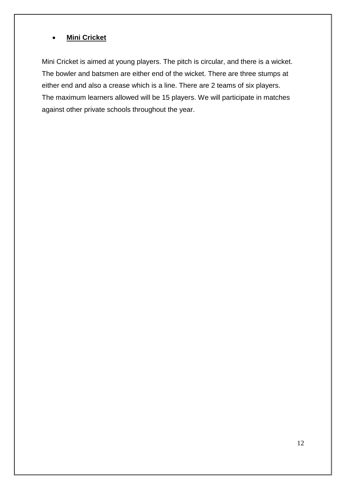# **Mini Cricket**

Mini Cricket is aimed at young players. The pitch is circular, and there is a wicket. The bowler and batsmen are either end of the wicket. There are three stumps at either end and also a crease which is a line. There are 2 teams of six players. The maximum learners allowed will be 15 players. We will participate in matches against other private schools throughout the year.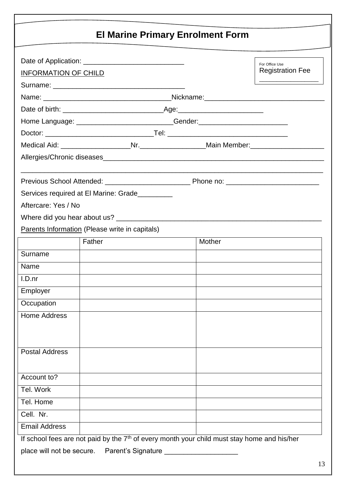# **El Marine Primary Enrolment Form**

| <b>INFORMATION OF CHILD</b>                                                      | Date of Application: <u>___________________________________</u>                                         |               | For Office Use<br><b>Registration Fee</b> |  |  |
|----------------------------------------------------------------------------------|---------------------------------------------------------------------------------------------------------|---------------|-------------------------------------------|--|--|
|                                                                                  |                                                                                                         |               |                                           |  |  |
|                                                                                  |                                                                                                         |               |                                           |  |  |
|                                                                                  |                                                                                                         |               |                                           |  |  |
|                                                                                  |                                                                                                         |               |                                           |  |  |
| Home Language: ___________________________Gender: ______________________________ |                                                                                                         |               |                                           |  |  |
|                                                                                  |                                                                                                         |               |                                           |  |  |
|                                                                                  |                                                                                                         |               |                                           |  |  |
|                                                                                  |                                                                                                         |               |                                           |  |  |
|                                                                                  |                                                                                                         |               |                                           |  |  |
|                                                                                  | Services required at El Marine: Grade                                                                   |               |                                           |  |  |
| Aftercare: Yes / No                                                              |                                                                                                         |               |                                           |  |  |
|                                                                                  |                                                                                                         |               |                                           |  |  |
|                                                                                  | Parents Information (Please write in capitals)                                                          |               |                                           |  |  |
|                                                                                  | Father                                                                                                  | <b>Mother</b> |                                           |  |  |
| Surname                                                                          |                                                                                                         |               |                                           |  |  |
| Name                                                                             |                                                                                                         |               |                                           |  |  |
| I.D.nr                                                                           |                                                                                                         |               |                                           |  |  |
| Employer                                                                         |                                                                                                         |               |                                           |  |  |
| Occupation                                                                       |                                                                                                         |               |                                           |  |  |
| <b>Home Address</b>                                                              |                                                                                                         |               |                                           |  |  |
|                                                                                  |                                                                                                         |               |                                           |  |  |
|                                                                                  |                                                                                                         |               |                                           |  |  |
| <b>Postal Address</b>                                                            |                                                                                                         |               |                                           |  |  |
|                                                                                  |                                                                                                         |               |                                           |  |  |
| Account to?                                                                      |                                                                                                         |               |                                           |  |  |
| Tel. Work                                                                        |                                                                                                         |               |                                           |  |  |
| Tel. Home                                                                        |                                                                                                         |               |                                           |  |  |
| Cell. Nr.                                                                        |                                                                                                         |               |                                           |  |  |
| <b>Email Address</b>                                                             |                                                                                                         |               |                                           |  |  |
|                                                                                  | If school fees are not paid by the 7 <sup>th</sup> of every month your child must stay home and his/her |               |                                           |  |  |
|                                                                                  | place will not be secure.  Parent's Signature ________________                                          |               |                                           |  |  |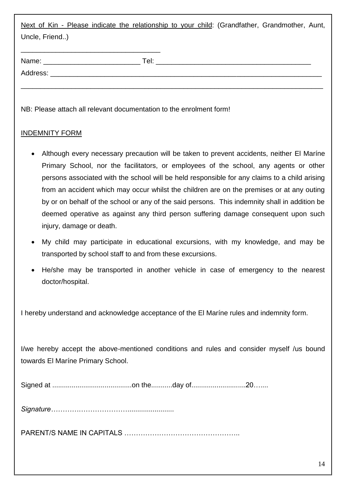| Next of Kin - Please indicate the relationship to your child: (Grandfather, Grandmother, Aunt,                                                                                                                                |      |  |  |  |
|-------------------------------------------------------------------------------------------------------------------------------------------------------------------------------------------------------------------------------|------|--|--|--|
| Uncle, Friend)                                                                                                                                                                                                                |      |  |  |  |
|                                                                                                                                                                                                                               |      |  |  |  |
| Name: will be a series of the contract of the contract of the contract of the contract of the contract of the contract of the contract of the contract of the contract of the contract of the contract of the contract of the | Tel: |  |  |  |
| Address:                                                                                                                                                                                                                      |      |  |  |  |

\_\_\_\_\_\_\_\_\_\_\_\_\_\_\_\_\_\_\_\_\_\_\_\_\_\_\_\_\_\_\_\_\_\_\_\_\_\_\_\_\_\_\_\_\_\_\_\_\_\_\_\_\_\_\_\_\_\_\_\_\_\_\_\_\_\_\_\_\_\_\_\_\_\_\_\_\_\_

NB: Please attach all relevant documentation to the enrolment form!

#### INDEMNITY FORM

- Although every necessary precaution will be taken to prevent accidents, neither El Maríne Primary School, nor the facilitators, or employees of the school, any agents or other persons associated with the school will be held responsible for any claims to a child arising from an accident which may occur whilst the children are on the premises or at any outing by or on behalf of the school or any of the said persons. This indemnity shall in addition be deemed operative as against any third person suffering damage consequent upon such injury, damage or death.
- My child may participate in educational excursions, with my knowledge, and may be transported by school staff to and from these excursions.
- He/she may be transported in another vehicle in case of emergency to the nearest doctor/hospital.

I hereby understand and acknowledge acceptance of the El Maríne rules and indemnity form.

I/we hereby accept the above-mentioned conditions and rules and consider myself /us bound towards El Maríne Primary School.

Signed at .........................................on the...........day of............................20…....

*Signature…………*…………………........................

PARENT/S NAME IN CAPITALS …………………………………………..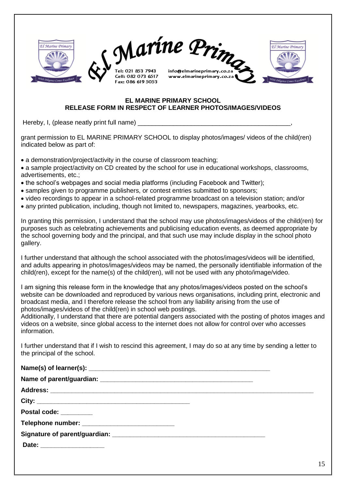

#### **EL MARINE PRIMARY SCHOOL RELEASE FORM IN RESPECT OF LEARNER PHOTOS/IMAGES/VIDEOS**

Hereby, I, (please neatly print full name) \_

grant permission to EL MARINE PRIMARY SCHOOL to display photos/images/ videos of the child(ren) indicated below as part of:

• a demonstration/project/activity in the course of classroom teaching;

- a sample project/activity on CD created by the school for use in educational workshops, classrooms, advertisements, etc.;
- the school's webpages and social media platforms (including Facebook and Twitter);
- samples given to programme publishers, or contest entries submitted to sponsors;
- video recordings to appear in a school-related programme broadcast on a television station; and/or
- any printed publication, including, though not limited to, newspapers, magazines, yearbooks, etc.

In granting this permission, I understand that the school may use photos/images/videos of the child(ren) for purposes such as celebrating achievements and publicising education events, as deemed appropriate by the school governing body and the principal, and that such use may include display in the school photo gallery.

I further understand that although the school associated with the photos/images/videos will be identified, and adults appearing in photos/images/videos may be named, the personally identifiable information of the child(ren), except for the name(s) of the child(ren), will not be used with any photo/image/video.

I am signing this release form in the knowledge that any photos/images/videos posted on the school's website can be downloaded and reproduced by various news organisations, including print, electronic and broadcast media, and I therefore release the school from any liability arising from the use of photos/images/videos of the child(ren) in school web postings.

Additionally, I understand that there are potential dangers associated with the posting of photos images and videos on a website, since global access to the internet does not allow for control over who accesses information.

I further understand that if I wish to rescind this agreement, I may do so at any time by sending a letter to the principal of the school.

| Postal code: _________     |  |
|----------------------------|--|
|                            |  |
|                            |  |
| Date: ____________________ |  |